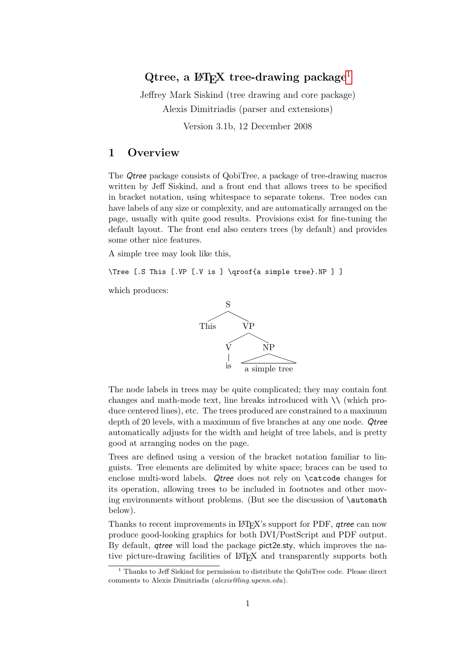# Qtree, a  $\mu$ <sub>FX</sub> tree-drawing package<sup>[1](#page-0-0)</sup>

Jeffrey Mark Siskind (tree drawing and core package) Alexis Dimitriadis (parser and extensions)

Version 3.1b, 12 December 2008

# <span id="page-0-1"></span>1 Overview

The Qtree package consists of QobiTree, a package of tree-drawing macros written by Jeff Siskind, and a front end that allows trees to be specified in bracket notation, using whitespace to separate tokens. Tree nodes can have labels of any size or complexity, and are automatically arranged on the page, usually with quite good results. Provisions exist for fine-tuning the default layout. The front end also centers trees (by default) and provides some other nice features.

A simple tree may look like this,

\Tree [.S This [.VP [.V is ] \qroof{a simple tree}.NP ] ]

which produces:



The node labels in trees may be quite complicated; they may contain font changes and math-mode text, line breaks introduced with  $\setminus \setminus$  (which produce centered lines), etc. The trees produced are constrained to a maximum depth of 20 levels, with a maximum of five branches at any one node. Qtree automatically adjusts for the width and height of tree labels, and is pretty good at arranging nodes on the page.

Trees are defined using a version of the bracket notation familiar to linguists. Tree elements are delimited by white space; braces can be used to enclose multi-word labels. Qtree does not rely on \catcode changes for its operation, allowing trees to be included in footnotes and other moving environments without problems. (But see the discussion of \automath below).

Thanks to recent improvements in LATEX's support for PDF, *atree* can now produce good-looking graphics for both DVI/PostScript and PDF output. By default, qtree will load the package pict2e.sty, which improves the native picture-drawing facilities of LATEX and transparently supports both

<span id="page-0-0"></span> $^{\rm 1}$  Thanks to Jeff Siskind for permission to distribute the QobiTree code. Please direct comments to Alexis Dimitriadis (alexis@ling.upenn.edu).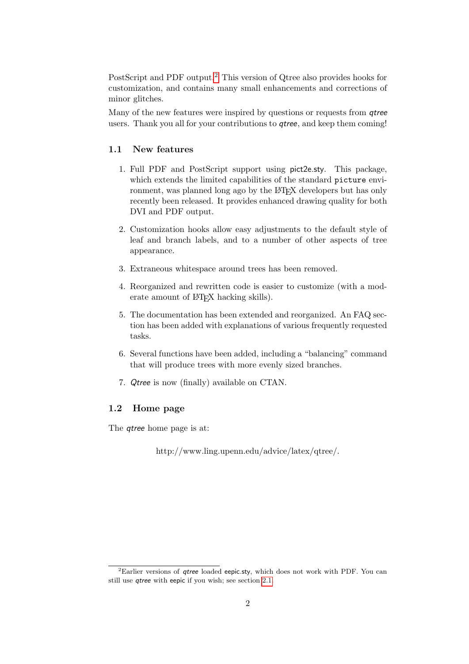PostScript and PDF output.[2](#page-1-0) This version of Qtree also provides hooks for customization, and contains many small enhancements and corrections of minor glitches.

Many of the new features were inspired by questions or requests from *gtree* users. Thank you all for your contributions to *atree*, and keep them coming!

## <span id="page-1-1"></span>1.1 New features

- 1. Full PDF and PostScript support using pict2e.sty. This package, which extends the limited capabilities of the standard picture environment, was planned long ago by the LAT<sub>EX</sub> developers but has only recently been released. It provides enhanced drawing quality for both DVI and PDF output.
- 2. Customization hooks allow easy adjustments to the default style of leaf and branch labels, and to a number of other aspects of tree appearance.
- 3. Extraneous whitespace around trees has been removed.
- 4. Reorganized and rewritten code is easier to customize (with a moderate amount of IATEX hacking skills).
- 5. The documentation has been extended and reorganized. An FAQ section has been added with explanations of various frequently requested tasks.
- 6. Several functions have been added, including a "balancing" command that will produce trees with more evenly sized branches.
- 7. Qtree is now (finally) available on CTAN.

### <span id="page-1-2"></span>1.2 Home page

The qtree home page is at:

http://www.ling.upenn.edu/advice/latex/qtree/.

<span id="page-1-0"></span><sup>&</sup>lt;sup>2</sup>Earlier versions of *qtree* loaded eepic.sty, which does not work with PDF. You can still use qtree with eepic if you wish; see section [2.1.](#page-3-0)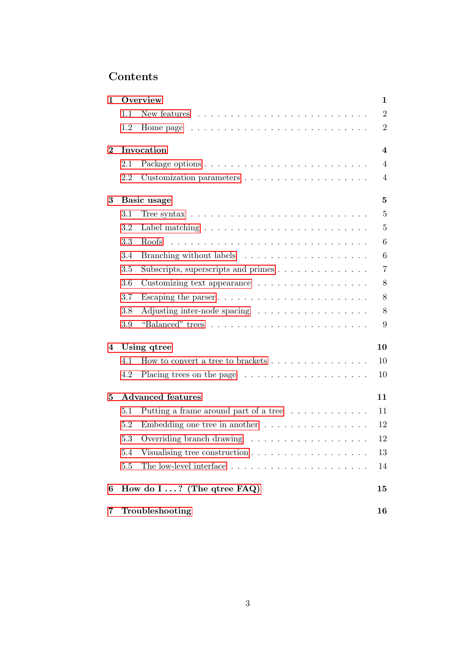# Contents

| $\mathbf{1}$ | Overview                 |                                                                                     | 1               |
|--------------|--------------------------|-------------------------------------------------------------------------------------|-----------------|
|              | 1.1                      |                                                                                     | $\overline{2}$  |
|              | 1.2                      |                                                                                     | $\overline{2}$  |
| $\bf{2}$     | Invocation               |                                                                                     |                 |
|              | 2.1                      |                                                                                     | $\overline{4}$  |
|              | 2.2                      |                                                                                     | $\overline{4}$  |
| 3            | Basic usage              |                                                                                     | 5               |
|              | 3.1                      | Tree syntax $\ldots \ldots \ldots \ldots \ldots \ldots \ldots \ldots \ldots \ldots$ | $\overline{5}$  |
|              | 3.2                      |                                                                                     | $\overline{5}$  |
|              | 3.3                      | Roofs                                                                               | 6               |
|              | 3.4                      |                                                                                     | $6\phantom{.}6$ |
|              | 3.5                      | Subscripts, superscripts and primes                                                 | $\overline{7}$  |
|              | 3.6                      | Customizing text appearance $\ldots \ldots \ldots \ldots \ldots$                    | $8\,$           |
|              | 3.7                      | Escaping the parser $\dots \dots \dots \dots \dots \dots \dots \dots \dots$         | 8               |
|              | 3.8                      | Adjusting inter-node spacing                                                        | $8\,$           |
|              | 3.9                      |                                                                                     | 9               |
| 4            | Using qtree              |                                                                                     | 10              |
|              | 4.1                      | How to convert a tree to brackets $\dots \dots \dots \dots \dots$                   | 10              |
|              | 4.2                      | Placing trees on the page $\dots \dots \dots \dots \dots \dots \dots$               | 10              |
| 5            | <b>Advanced features</b> |                                                                                     | 11              |
|              | 5.1                      | Putting a frame around part of a tree                                               | 11              |
|              | 5.2                      | Embedding one tree in another $\dots \dots \dots \dots \dots$                       | 12              |
|              | 5.3                      | Overriding branch drawing                                                           | 12              |
|              | 5.4                      | Visualising tree construction $\ldots \ldots \ldots \ldots \ldots \ldots$           | 13              |
|              | 5.5                      |                                                                                     | 14              |
| 6            |                          | How do $I \ldots$ ? (The qtree FAQ)                                                 | 15              |
| 7            | Troubleshooting          |                                                                                     | 16              |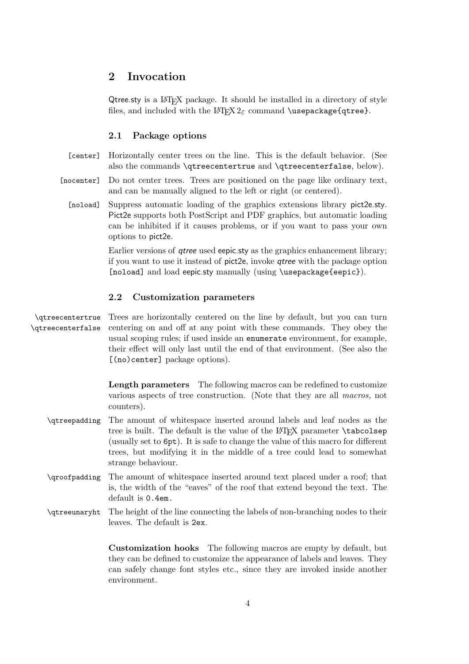# <span id="page-3-1"></span>2 Invocation

Qtree.sty is a LAT<sub>EX</sub> package. It should be installed in a directory of style files, and included with the  $\mathbb{F} \mathbb{E} \mathbb{X} \mathbb{Z}_{\varepsilon}$  command \usepackage{qtree}.

# <span id="page-3-0"></span>2.1 Package options

- [center] Horizontally center trees on the line. This is the default behavior. (See also the commands \qtreecentertrue and \qtreecenterfalse, below).
- [nocenter] Do not center trees. Trees are positioned on the page like ordinary text, and can be manually aligned to the left or right (or centered).
	- [noload] Suppress automatic loading of the graphics extensions library pict2e.sty. Pict2e supports both PostScript and PDF graphics, but automatic loading can be inhibited if it causes problems, or if you want to pass your own options to pict2e.

Earlier versions of *qtree* used eepic.sty as the graphics enhancement library; if you want to use it instead of pict2e, invoke qtree with the package option [noload] and load eepic.sty manually (using \usepackage{eepic}).

# <span id="page-3-2"></span>2.2 Customization parameters

\qtreecentertrue Trees are horizontally centered on the line by default, but you can turn \qtreecenterfalse centering on and off at any point with these commands. They obey the usual scoping rules; if used inside an enumerate environment, for example, their effect will only last until the end of that environment. (See also the [(no)center] package options).

> Length parameters The following macros can be redefined to customize various aspects of tree construction. (Note that they are all macros, not counters).

- \qtreepadding The amount of whitespace inserted around labels and leaf nodes as the tree is built. The default is the value of the LAT<sub>EX</sub> parameter **\tabcolsep** (usually set to 6pt). It is safe to change the value of this macro for different trees, but modifying it in the middle of a tree could lead to somewhat strange behaviour.
- \qroofpadding The amount of whitespace inserted around text placed under a roof; that is, the width of the "eaves" of the roof that extend beyond the text. The default is 0.4em.
- \qtreeunaryht The height of the line connecting the labels of non-branching nodes to their leaves. The default is 2ex.

Customization hooks The following macros are empty by default, but they can be defined to customize the appearance of labels and leaves. They can safely change font styles etc., since they are invoked inside another environment.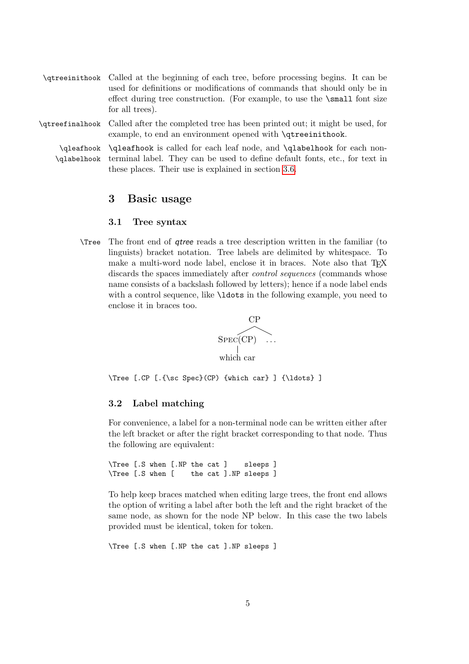- \qtreeinithook Called at the beginning of each tree, before processing begins. It can be used for definitions or modifications of commands that should only be in effect during tree construction. (For example, to use the \small font size for all trees).
- \qtreefinalhook Called after the completed tree has been printed out; it might be used, for example, to end an environment opened with **\qtreeinithook**.

\qleafhook \qleafhook is called for each leaf node, and \qlabelhook for each non- \qlabelhook terminal label. They can be used to define default fonts, etc., for text in these places. Their use is explained in section [3.6.](#page-7-0)

# <span id="page-4-0"></span>3 Basic usage

#### <span id="page-4-1"></span>3.1 Tree syntax

\Tree The front end of qtree reads a tree description written in the familiar (to linguists) bracket notation. Tree labels are delimited by whitespace. To make a multi-word node label, enclose it in braces. Note also that T<sub>EX</sub> discards the spaces immediately after *control sequences* (commands whose name consists of a backslash followed by letters); hence if a node label ends with a control sequence, like **\ldots** in the following example, you need to enclose it in braces too.



\Tree [.CP [.{\sc Spec}(CP) {which car} ] {\ldots} ]

#### <span id="page-4-2"></span>3.2 Label matching

For convenience, a label for a non-terminal node can be written either after the left bracket or after the right bracket corresponding to that node. Thus the following are equivalent:

\Tree [.S when [.NP the cat ] sleeps ] \Tree [.S when [ the cat ].NP sleeps ]

To help keep braces matched when editing large trees, the front end allows the option of writing a label after both the left and the right bracket of the same node, as shown for the node NP below. In this case the two labels provided must be identical, token for token.

\Tree [.S when [.NP the cat ].NP sleeps ]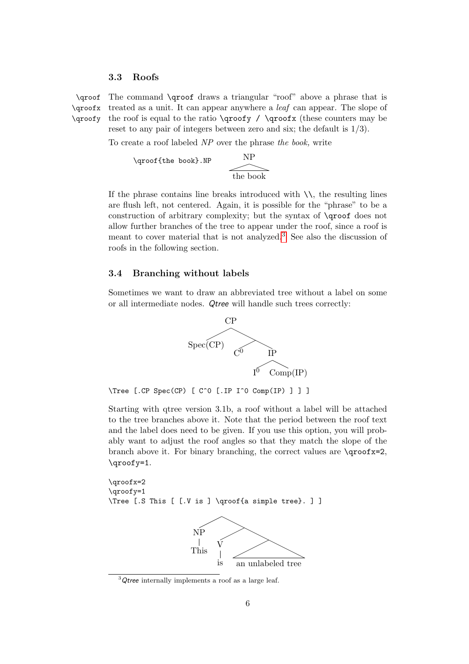#### <span id="page-5-0"></span>3.3 Roofs

\qroof The command \qroof draws a triangular "roof" above a phrase that is \qroofx treated as a unit. It can appear anywhere a leaf can appear. The slope of \qroofy the roof is equal to the ratio  $\qquad$  /  $\qquad$  /  $\qquad$  (these counters may be reset to any pair of integers between zero and six; the default is  $1/3$ ).

To create a roof labeled NP over the phrase the book, write

$$
\sqrt{\text{qroot} \cdot \text{the book}} \cdot \text{NP}
$$

If the phrase contains line breaks introduced with  $\setminus \setminus$ , the resulting lines are flush left, not centered. Again, it is possible for the "phrase" to be a construction of arbitrary complexity; but the syntax of \qroof does not allow further branches of the tree to appear under the roof, since a roof is meant to cover material that is not analyzed.[3](#page-5-2) See also the discussion of roofs in the following section.

### <span id="page-5-1"></span>3.4 Branching without labels

Sometimes we want to draw an abbreviated tree without a label on some or all intermediate nodes. Qtree will handle such trees correctly:



\Tree [.CP Spec(CP) [ C^0 [.IP I^0 Comp(IP) ] ] ]

Starting with qtree version 3.1b, a roof without a label will be attached to the tree branches above it. Note that the period between the roof text and the label does need to be given. If you use this option, you will probably want to adjust the roof angles so that they match the slope of the branch above it. For binary branching, the correct values are \qroofx=2, \qroofy=1.

```
\qroofx=2
\qroofy=1
\Tree [.S This [ [.V is ] \qroof{a simple tree}. ] ]
```


<span id="page-5-2"></span> $3$  Qtree internally implements a roof as a large leaf.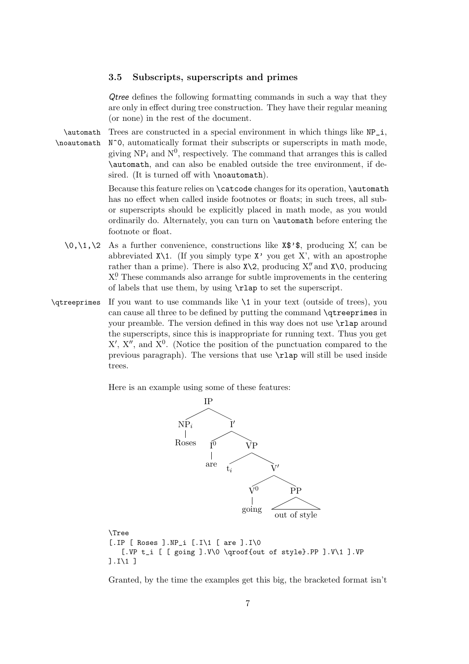#### <span id="page-6-0"></span>3.5 Subscripts, superscripts and primes

Qtree defines the following formatting commands in such a way that they are only in effect during tree construction. They have their regular meaning (or none) in the rest of the document.

 $\lambda$  Trees are constructed in a special environment in which things like  $NP_i$ , \noautomath N^0, automatically format their subscripts or superscripts in math mode, giving  $NP_i$  and  $N^0$ , respectively. The command that arranges this is called \automath, and can also be enabled outside the tree environment, if desired. (It is turned off with \noautomath).

> Because this feature relies on **\catcode** changes for its operation, **\automath** has no effect when called inside footnotes or floats; in such trees, all subor superscripts should be explicitly placed in math mode, as you would ordinarily do. Alternately, you can turn on \automath before entering the footnote or float.

- $\{0,\1,\2$  As a further convenience, constructions like  $\mathbf{X}^*$ ; producing X', can be abbreviated  $X\setminus 1$ . (If you simply type  $X'$  you get  $X'$ , with an apostrophe rather than a prime). There is also  $X\$ 2, producing  $X''$ , and  $X\$ 0, producing X<sup>0</sup> These commands also arrange for subtle improvements in the centering of labels that use them, by using \rlap to set the superscript.
- \qtreeprimes If you want to use commands like \1 in your text (outside of trees), you can cause all three to be defined by putting the command \qtreeprimes in your preamble. The version defined in this way does not use \rlap around the superscripts, since this is inappropriate for running text. Thus you get  $X', X'',$  and  $X^0$ . (Notice the position of the punctuation compared to the previous paragraph). The versions that use \rlap will still be used inside trees.

Here is an example using some of these features:



\Tree [.IP [ Roses ].NP\_i [.I\1 [ are ].I\0 [.VP t\_i [ [ going ].V\0 \qroof{out of style}.PP ].V\1 ].VP  $] .I \1]$ 

Granted, by the time the examples get this big, the bracketed format isn't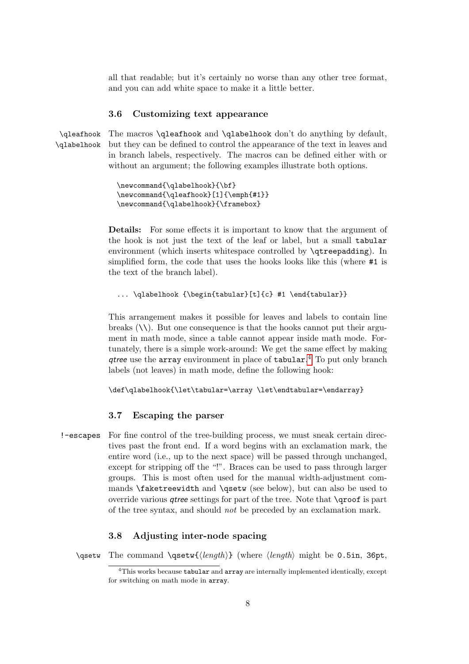all that readable; but it's certainly no worse than any other tree format, and you can add white space to make it a little better.

#### <span id="page-7-0"></span>3.6 Customizing text appearance

\qleafhook The macros \qleafhook and \qlabelhook don't do anything by default, \qlabelhook but they can be defined to control the appearance of the text in leaves and in branch labels, respectively. The macros can be defined either with or without an argument; the following examples illustrate both options.

```
\newcommand{\qlabelhook}{\bf}
\newcommand{\qleafhook}[1]{\emph{#1}}
\newcommand{\qlabelhook}{\framebox}
```
Details: For some effects it is important to know that the argument of the hook is not just the text of the leaf or label, but a small tabular environment (which inserts whitespace controlled by \qtreepadding). In simplified form, the code that uses the hooks looks like this (where #1 is the text of the branch label).

```
... \qlabelhook {\begin{tabular}[t]{c} #1 \end{tabular}}
```
This arrangement makes it possible for leaves and labels to contain line breaks  $(\setminus)$ . But one consequence is that the hooks cannot put their argument in math mode, since a table cannot appear inside math mode. Fortunately, there is a simple work-around: We get the same effect by making qtree use the array environment in place of tabular.<sup>[4](#page-7-3)</sup> To put only branch labels (not leaves) in math mode, define the following hook:

```
\def\qlabelhook{\let\tabular=\array \let\endtabular=\endarray}
```
#### <span id="page-7-1"></span>3.7 Escaping the parser

!-escapes For fine control of the tree-building process, we must sneak certain directives past the front end. If a word begins with an exclamation mark, the entire word (i.e., up to the next space) will be passed through unchanged, except for stripping off the "!". Braces can be used to pass through larger groups. This is most often used for the manual width-adjustment commands \faketreewidth and \qsetw (see below), but can also be used to override various qtree settings for part of the tree. Note that \qroof is part of the tree syntax, and should not be preceded by an exclamation mark.

# <span id="page-7-2"></span>3.8 Adjusting inter-node spacing

\qsetw The command \qsetw{ $\langle length \rangle$ } (where  $\langle length \rangle$  might be 0.5in, 36pt,

<span id="page-7-3"></span> $4$ This works because **tabular** and  $\arctan x$  are internally implemented identically, except for switching on math mode in array.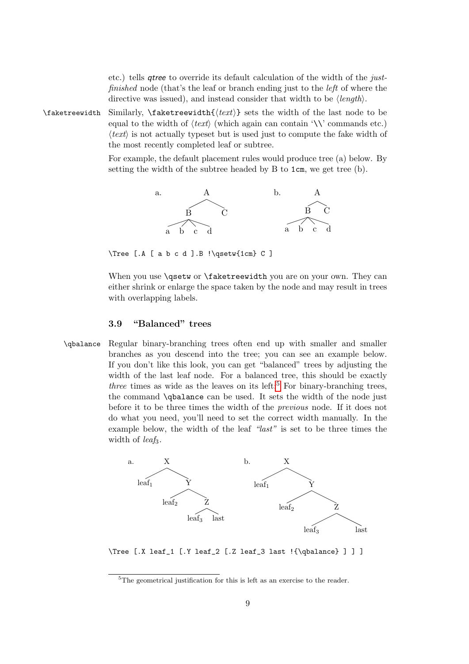etc.) tells qtree to override its default calculation of the width of the justfinished node (that's the leaf or branch ending just to the *left* of where the directive was issued), and instead consider that width to be  $\langle length \rangle$ .

\faketreewidth Similarly, \faketreewidth{ $\text{text}\}$  sets the width of the last node to be equal to the width of  $\langle text \rangle$  (which again can contain '\\' commands etc.)  $\langle text \rangle$  is not actually typeset but is used just to compute the fake width of the most recently completed leaf or subtree.

> For example, the default placement rules would produce tree (a) below. By setting the width of the subtree headed by B to 1cm, we get tree (b).



\Tree [.A [ a b c d ].B !\qsetw{1cm} C ]

When you use **\qsetw** or **\faketreewidth** you are on your own. They can either shrink or enlarge the space taken by the node and may result in trees with overlapping labels.

### <span id="page-8-0"></span>3.9 "Balanced" trees

\qbalance Regular binary-branching trees often end up with smaller and smaller branches as you descend into the tree; you can see an example below. If you don't like this look, you can get "balanced" trees by adjusting the width of the last leaf node. For a balanced tree, this should be exactly three times as wide as the leaves on its left;<sup>[5](#page-8-1)</sup> For binary-branching trees, the command \qbalance can be used. It sets the width of the node just before it to be three times the width of the previous node. If it does not do what you need, you'll need to set the correct width manually. In the example below, the width of the leaf "last" is set to be three times the width of *leaf*<sub>3</sub>.



\Tree [.X leaf\_1 [.Y leaf\_2 [.Z leaf\_3 last !{\qbalance} ] ] ]

<span id="page-8-1"></span><sup>5</sup>The geometrical justification for this is left as an exercise to the reader.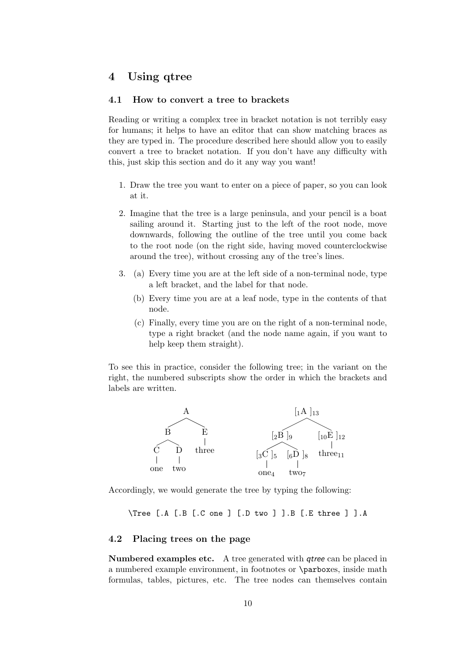# <span id="page-9-0"></span>4 Using qtree

# <span id="page-9-1"></span>4.1 How to convert a tree to brackets

Reading or writing a complex tree in bracket notation is not terribly easy for humans; it helps to have an editor that can show matching braces as they are typed in. The procedure described here should allow you to easily convert a tree to bracket notation. If you don't have any difficulty with this, just skip this section and do it any way you want!

- 1. Draw the tree you want to enter on a piece of paper, so you can look at it.
- 2. Imagine that the tree is a large peninsula, and your pencil is a boat sailing around it. Starting just to the left of the root node, move downwards, following the outline of the tree until you come back to the root node (on the right side, having moved counterclockwise around the tree), without crossing any of the tree's lines.
- 3. (a) Every time you are at the left side of a non-terminal node, type a left bracket, and the label for that node.
	- (b) Every time you are at a leaf node, type in the contents of that node.
	- (c) Finally, every time you are on the right of a non-terminal node, type a right bracket (and the node name again, if you want to help keep them straight).

To see this in practice, consider the following tree; in the variant on the right, the numbered subscripts show the order in which the brackets and labels are written.



Accordingly, we would generate the tree by typing the following:

\Tree [.A [.B [.C one ] [.D two ] ].B [.E three ] ].A

#### <span id="page-9-2"></span>4.2 Placing trees on the page

Numbered examples etc. A tree generated with qtree can be placed in a numbered example environment, in footnotes or \parboxes, inside math formulas, tables, pictures, etc. The tree nodes can themselves contain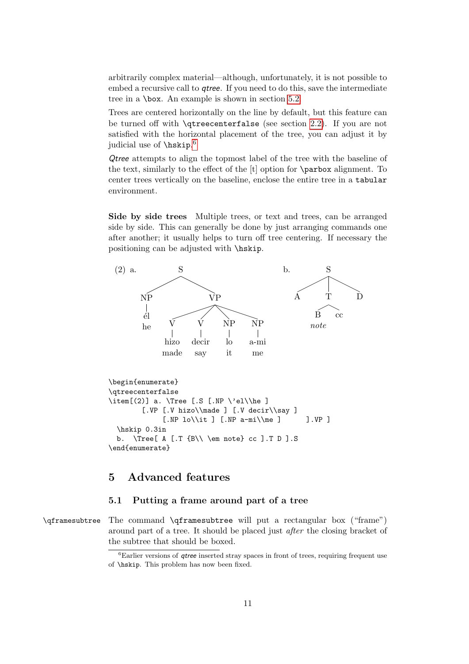arbitrarily complex material—although, unfortunately, it is not possible to embed a recursive call to *qtree*. If you need to do this, save the intermediate tree in a \box. An example is shown in section [5.2.](#page-11-0)

Trees are centered horizontally on the line by default, but this feature can be turned off with \qtreecenterfalse (see section [2.2\)](#page-3-2). If you are not satisfied with the horizontal placement of the tree, you can adjust it by judicial use of \hskip. [6](#page-10-2)

Qtree attempts to align the topmost label of the tree with the baseline of the text, similarly to the effect of the [t] option for \parbox alignment. To center trees vertically on the baseline, enclose the entire tree in a tabular environment.

<span id="page-10-3"></span>Side by side trees Multiple trees, or text and trees, can be arranged side by side. This can generally be done by just arranging commands one after another; it usually helps to turn off tree centering. If necessary the positioning can be adjusted with \hskip.



# <span id="page-10-0"></span>5 Advanced features

#### <span id="page-10-1"></span>5.1 Putting a frame around part of a tree

\qframesubtree The command \qframesubtree will put a rectangular box ("frame") around part of a tree. It should be placed just after the closing bracket of the subtree that should be boxed.

<span id="page-10-2"></span> ${}^{6}$ Earlier versions of *qtree* inserted stray spaces in front of trees, requiring frequent use of \hskip. This problem has now been fixed.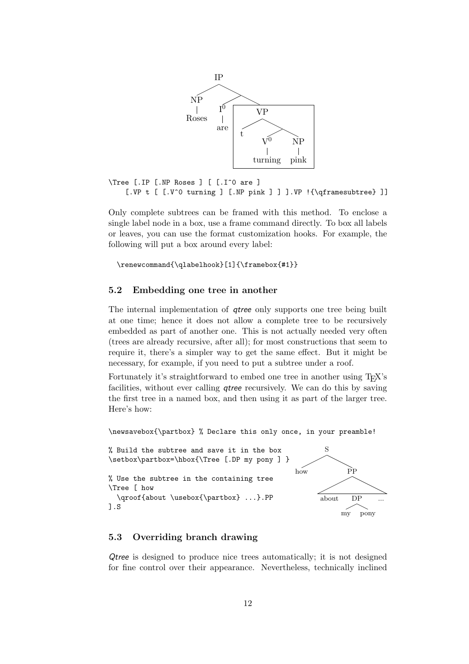

\Tree [.IP [.NP Roses ] [ [.I^0 are ] [.VP t [ [.V^0 turning ] [.NP pink ] ] ].VP !{\qframesubtree} ]]

Only complete subtrees can be framed with this method. To enclose a single label node in a box, use a frame command directly. To box all labels or leaves, you can use the format customization hooks. For example, the following will put a box around every label:

\renewcommand{\qlabelhook}[1]{\framebox{#1}}

### <span id="page-11-0"></span>5.2 Embedding one tree in another

The internal implementation of *qtree* only supports one tree being built at one time; hence it does not allow a complete tree to be recursively embedded as part of another one. This is not actually needed very often (trees are already recursive, after all); for most constructions that seem to require it, there's a simpler way to get the same effect. But it might be necessary, for example, if you need to put a subtree under a roof.

Fortunately it's straightforward to embed one tree in another using T<sub>EX</sub>'s facilities, without ever calling qtree recursively. We can do this by saving the first tree in a named box, and then using it as part of the larger tree. Here's how:

\newsavebox{\partbox} % Declare this only once, in your preamble!

```
% Build the subtree and save it in the box
\setbox\partbox=\hbox{\Tree [.DP my pony ] }
% Use the subtree in the containing tree
\Tree [ how
  \qroof{about \usebox{\partbox} ...}.PP
].S
```


### <span id="page-11-1"></span>5.3 Overriding branch drawing

Qtree is designed to produce nice trees automatically; it is not designed for fine control over their appearance. Nevertheless, technically inclined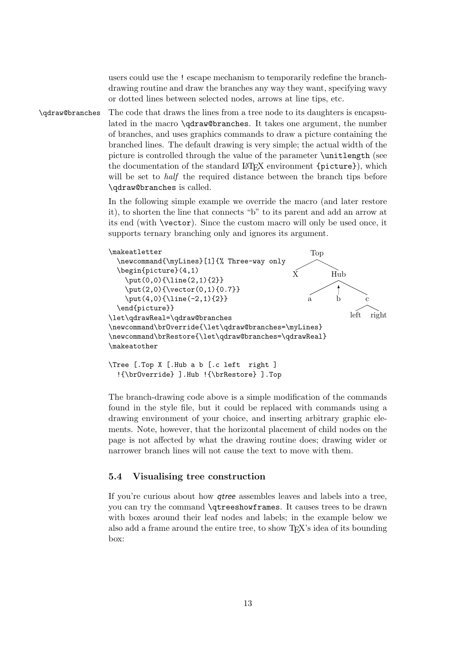users could use the ! escape mechanism to temporarily redefine the branchdrawing routine and draw the branches any way they want, specifying wavy or dotted lines between selected nodes, arrows at line tips, etc.

\qdraw@branches The code that draws the lines from a tree node to its daughters is encapsulated in the macro \qdraw@branches. It takes one argument, the number of branches, and uses graphics commands to draw a picture containing the branched lines. The default drawing is very simple; the actual width of the picture is controlled through the value of the parameter \unitlength (see the documentation of the standard LAT<sub>E</sub>X environment {picture}), which will be set to *half* the required distance between the branch tips before \qdraw@branches is called.

> In the following simple example we override the macro (and later restore it), to shorten the line that connects "b" to its parent and add an arrow at its end (with \vector). Since the custom macro will only be used once, it supports ternary branching only and ignores its argument.



\Tree [.Top X [.Hub a b [.c left right ] !{\brOverride} ].Hub !{\brRestore} ].Top

The branch-drawing code above is a simple modification of the commands found in the style file, but it could be replaced with commands using a drawing environment of your choice, and inserting arbitrary graphic elements. Note, however, that the horizontal placement of child nodes on the page is not affected by what the drawing routine does; drawing wider or narrower branch lines will not cause the text to move with them.

### <span id="page-12-0"></span>5.4 Visualising tree construction

If you're curious about how qtree assembles leaves and labels into a tree, you can try the command \qtreeshowframes. It causes trees to be drawn with boxes around their leaf nodes and labels; in the example below we also add a frame around the entire tree, to show T<sub>EX</sub>'s idea of its bounding box: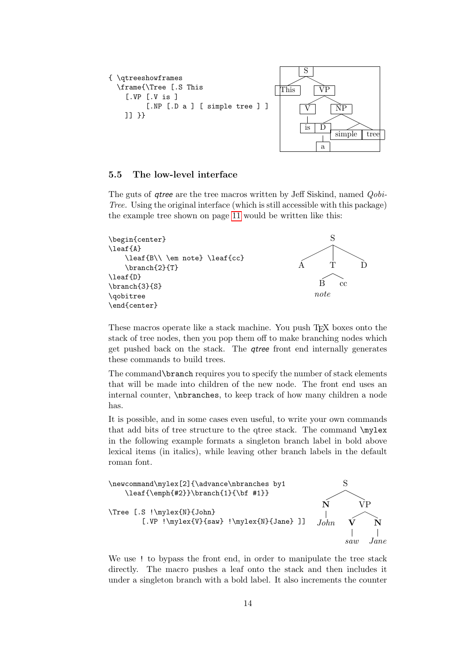```
{ \qtreeshowframes
  \frame{\Tree [.S This
    [.VP [.V is ]
         [.NP [.D a ] [ simple tree ] ]
    ]] }}
                                                 S
                                          This VP
                                                 V
                                                 is
                                                         NP
                                                     D
                                                         simple tree
```
#### <span id="page-13-0"></span>5.5 The low-level interface

The guts of *qtree* are the tree macros written by Jeff Siskind, named *Qobi*-Tree. Using the original interface (which is still accessible with this package) the example tree shown on page [11](#page-10-3) would be written like this:

```
\begin{center}
\leaf{A}
    \leaf{B\\ \em note} \leaf{cc}
    \branch{2}{T}
\leaf{D}
\branch{3}{S}
\qobitree
\end{center}
```


a

These macros operate like a stack machine. You push T<sub>EX</sub> boxes onto the stack of tree nodes, then you pop them off to make branching nodes which get pushed back on the stack. The qtree front end internally generates these commands to build trees.

The command\branch requires you to specify the number of stack elements that will be made into children of the new node. The front end uses an internal counter, \nbranches, to keep track of how many children a node has.

It is possible, and in some cases even useful, to write your own commands that add bits of tree structure to the qtree stack. The command \mylex in the following example formats a singleton branch label in bold above lexical items (in italics), while leaving other branch labels in the default roman font.



We use ! to bypass the front end, in order to manipulate the tree stack directly. The macro pushes a leaf onto the stack and then includes it under a singleton branch with a bold label. It also increments the counter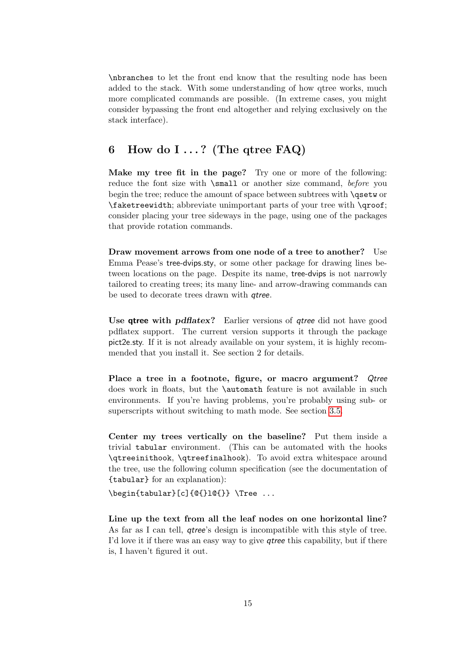\nbranches to let the front end know that the resulting node has been added to the stack. With some understanding of how qtree works, much more complicated commands are possible. (In extreme cases, you might consider bypassing the front end altogether and relying exclusively on the stack interface).

# <span id="page-14-0"></span>6 How do I  $\ldots$ ? (The qtree FAQ)

Make my tree fit in the page? Try one or more of the following: reduce the font size with \small or another size command, before you begin the tree; reduce the amount of space between subtrees with **\qsetw** or \faketreewidth; abbreviate unimportant parts of your tree with \qroof; consider placing your tree sideways in the page, using one of the packages that provide rotation commands.

Draw movement arrows from one node of a tree to another? Use Emma Pease's tree-dvips.sty, or some other package for drawing lines between locations on the page. Despite its name, tree-dvips is not narrowly tailored to creating trees; its many line- and arrow-drawing commands can be used to decorate trees drawn with qtree.

Use **gtree with pdflatex?** Earlier versions of *gtree* did not have good pdflatex support. The current version supports it through the package pict2e.sty. If it is not already available on your system, it is highly recommended that you install it. See section 2 for details.

Place a tree in a footnote, figure, or macro argument? Qtree does work in floats, but the \automath feature is not available in such environments. If you're having problems, you're probably using sub- or superscripts without switching to math mode. See section [3.5.](#page-6-0)

Center my trees vertically on the baseline? Put them inside a trivial tabular environment. (This can be automated with the hooks \qtreeinithook, \qtreefinalhook). To avoid extra whitespace around the tree, use the following column specification (see the documentation of {tabular} for an explanation):

\begin{tabular}[c]{@{}l@{}} \Tree ...

Line up the text from all the leaf nodes on one horizontal line? As far as I can tell, qtree's design is incompatible with this style of tree. I'd love it if there was an easy way to give qtree this capability, but if there is, I haven't figured it out.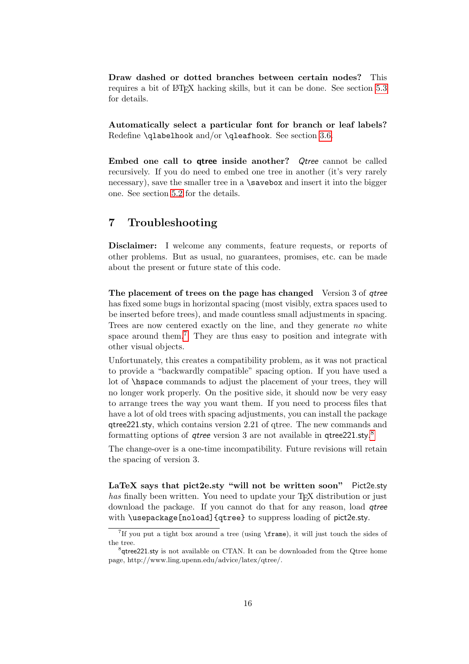Draw dashed or dotted branches between certain nodes? This requires a bit of LATEX hacking skills, but it can be done. See section [5.3](#page-11-1) for details.

Automatically select a particular font for branch or leaf labels? Redefine \qlabelhook and/or \qleafhook. See section [3.6.](#page-7-0)

Embed one call to qtree inside another? Qtree cannot be called recursively. If you do need to embed one tree in another (it's very rarely necessary), save the smaller tree in a  $\simeq$  and insert it into the bigger one. See section [5.2](#page-11-0) for the details.

# <span id="page-15-0"></span>7 Troubleshooting

Disclaimer: I welcome any comments, feature requests, or reports of other problems. But as usual, no guarantees, promises, etc. can be made about the present or future state of this code.

The placement of trees on the page has changed Version 3 of *atree* has fixed some bugs in horizontal spacing (most visibly, extra spaces used to be inserted before trees), and made countless small adjustments in spacing. Trees are now centered exactly on the line, and they generate no white space around them.<sup>[7](#page-15-1)</sup> They are thus easy to position and integrate with other visual objects.

Unfortunately, this creates a compatibility problem, as it was not practical to provide a "backwardly compatible" spacing option. If you have used a lot of \hspace commands to adjust the placement of your trees, they will no longer work properly. On the positive side, it should now be very easy to arrange trees the way you want them. If you need to process files that have a lot of old trees with spacing adjustments, you can install the package qtree221.sty, which contains version 2.21 of qtree. The new commands and formatting options of *qtree* version 3 are not available in qtree221.sty.<sup>[8](#page-15-2)</sup>

The change-over is a one-time incompatibility. Future revisions will retain the spacing of version 3.

LaTeX says that pict2e.sty "will not be written soon" Pict2e.sty has finally been written. You need to update your  $T_F X$  distribution or just download the package. If you cannot do that for any reason, load *gtree* with \usepackage[noload]{qtree} to suppress loading of pict2e.sty.

<span id="page-15-1"></span><sup>7</sup>If you put a tight box around a tree (using \frame), it will just touch the sides of the tree.

<span id="page-15-2"></span><sup>&</sup>lt;sup>8</sup>qtree221.sty is not available on CTAN. It can be downloaded from the Qtree home page, http://www.ling.upenn.edu/advice/latex/qtree/.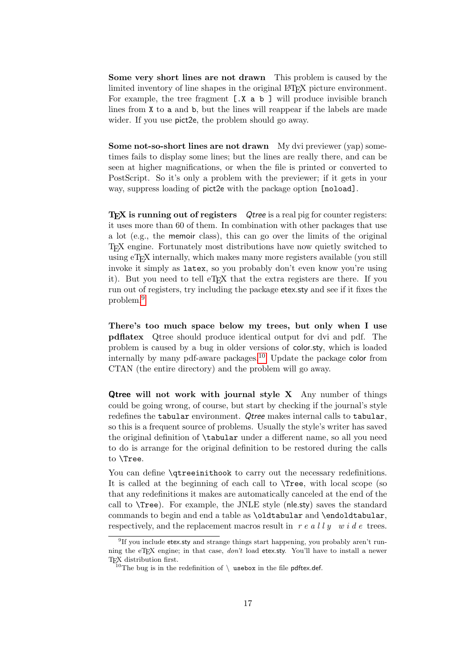Some very short lines are not drawn This problem is caused by the limited inventory of line shapes in the original LAT<sub>EX</sub> picture environment. For example, the tree fragment [.X a b ] will produce invisible branch lines from X to a and b, but the lines will reappear if the labels are made wider. If you use pict2e, the problem should go away.

Some not-so-short lines are not drawn My dvi previewer (yap) sometimes fails to display some lines; but the lines are really there, and can be seen at higher magnifications, or when the file is printed or converted to PostScript. So it's only a problem with the previewer; if it gets in your way, suppress loading of pict2e with the package option [noload].

T<sub>F</sub>X is running out of registers Qtree is a real pig for counter registers: it uses more than 60 of them. In combination with other packages that use a lot (e.g., the memoir class), this can go over the limits of the original TEX engine. Fortunately most distributions have now quietly switched to using eT<sub>E</sub>X internally, which makes many more registers available (you still invoke it simply as latex, so you probably don't even know you're using it). But you need to tell eT<sub>EX</sub> that the extra registers are there. If you run out of registers, try including the package etex.sty and see if it fixes the problem.[9](#page-16-0)

There's too much space below my trees, but only when I use pdflatex Qtree should produce identical output for dvi and pdf. The problem is caused by a bug in older versions of color.sty, which is loaded internally by many pdf-aware packages.<sup>[10](#page-16-1)</sup> Update the package color from CTAN (the entire directory) and the problem will go away.

**Qtree will not work with journal style X** Any number of things could be going wrong, of course, but start by checking if the journal's style redefines the tabular environment. Qtree makes internal calls to tabular, so this is a frequent source of problems. Usually the style's writer has saved the original definition of \tabular under a different name, so all you need to do is arrange for the original definition to be restored during the calls to \Tree.

You can define  $\qquad$  vertextless to carry out the necessary redefinitions. It is called at the beginning of each call to \Tree, with local scope (so that any redefinitions it makes are automatically canceled at the end of the call to \Tree). For example, the JNLE style (nle.sty) saves the standard commands to begin and end a table as \oldtabular and \endoldtabular, respectively, and the replacement macros result in  $r e a l l y w i d e$  trees.

<span id="page-16-0"></span><sup>&</sup>lt;sup>9</sup>If you include etex.sty and strange things start happening, you probably aren't running the eT<sub>E</sub>X engine; in that case,  $don't$  load etex.sty. You'll have to install a newer T<sub>E</sub>X distribution first.

<span id="page-16-1"></span><sup>&</sup>lt;sup>10</sup>The bug is in the redefinition of  $\setminus$  usebox in the file pdftex.def.